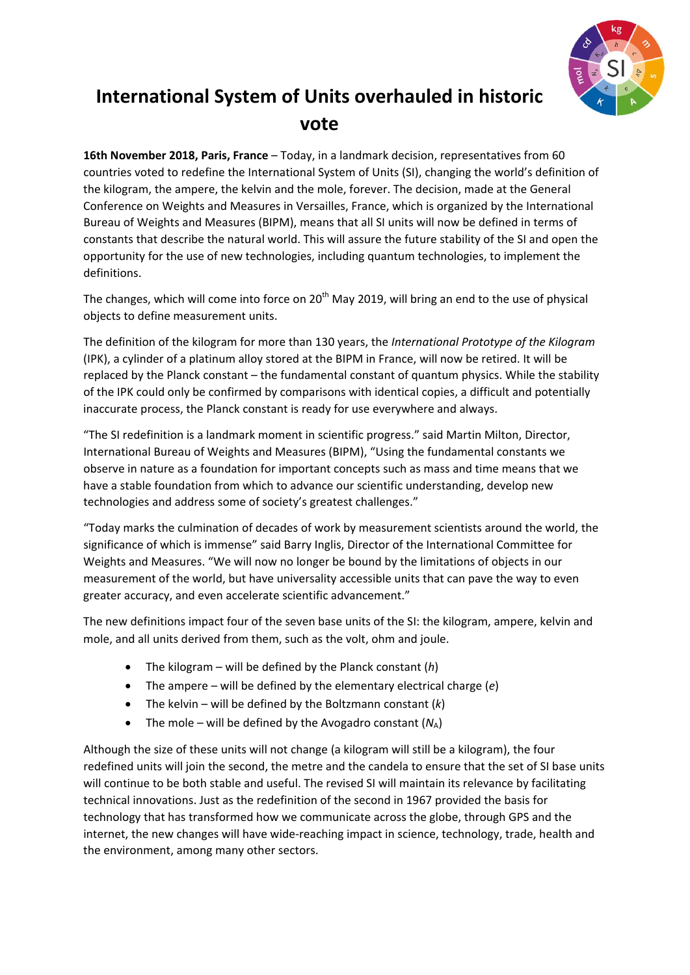

## **International System of Units overhauled in historic vote**

**16th November 2018, Paris, France** – Today, in a landmark decision, representatives from 60 countries voted to redefine the International System of Units (SI), changing the world's definition of the kilogram, the ampere, the kelvin and the mole, forever. The decision, made at the General Conference on Weights and Measures in Versailles, France, which is organized by the International Bureau of Weights and Measures (BIPM), means that all SI units will now be defined in terms of constants that describe the natural world. This will assure the future stability of the SI and open the opportunity for the use of new technologies, including quantum technologies, to implement the definitions.

The changes, which will come into force on  $20<sup>th</sup>$  May 2019, will bring an end to the use of physical objects to define measurement units.

The definition of the kilogram for more than 130 years, the *International Prototype of the Kilogram* (IPK), a cylinder of a platinum alloy stored at the BIPM in France, will now be retired. It will be replaced by the Planck constant – the fundamental constant of quantum physics. While the stability of the IPK could only be confirmed by comparisons with identical copies, a difficult and potentially inaccurate process, the Planck constant is ready for use everywhere and always.

"The SI redefinition is a landmark moment in scientific progress." said Martin Milton, Director, International Bureau of Weights and Measures (BIPM), "Using the fundamental constants we observe in nature as a foundation for important concepts such as mass and time means that we have a stable foundation from which to advance our scientific understanding, develop new technologies and address some of society's greatest challenges."

"Today marks the culmination of decades of work by measurement scientists around the world, the significance of which is immense" said Barry Inglis, Director of the International Committee for Weights and Measures. "We will now no longer be bound by the limitations of objects in our measurement of the world, but have universality accessible units that can pave the way to even greater accuracy, and even accelerate scientific advancement."

The new definitions impact four of the seven base units of the SI: the kilogram, ampere, kelvin and mole, and all units derived from them, such as the volt, ohm and joule.

- The kilogram will be defined by the Planck constant (*h*)
- The ampere will be defined by the elementary electrical charge (*e*)
- The kelvin will be defined by the Boltzmann constant (*k*)
- The mole will be defined by the Avogadro constant  $(N_A)$

Although the size of these units will not change (a kilogram will still be a kilogram), the four redefined units will join the second, the metre and the candela to ensure that the set of SI base units will continue to be both stable and useful. The revised SI will maintain its relevance by facilitating technical innovations. Just as the redefinition of the second in 1967 provided the basis for technology that has transformed how we communicate across the globe, through GPS and the internet, the new changes will have wide‐reaching impact in science, technology, trade, health and the environment, among many other sectors.